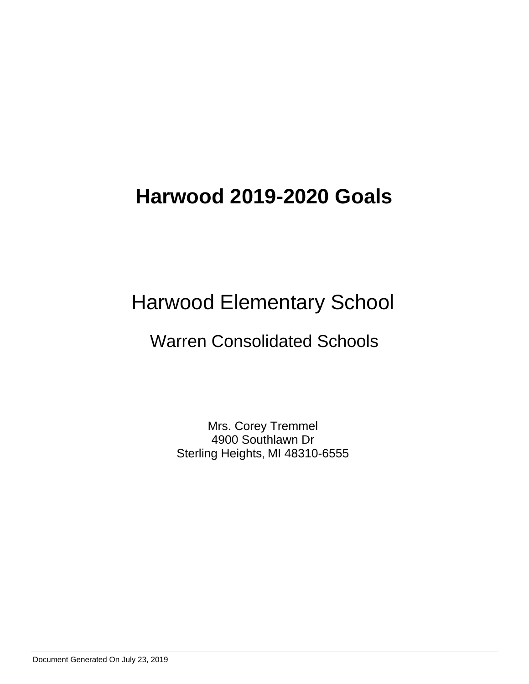# Harwood Elementary School

# Warren Consolidated Schools

Mrs. Corey Tremmel 4900 Southlawn Dr Sterling Heights, MI 48310-6555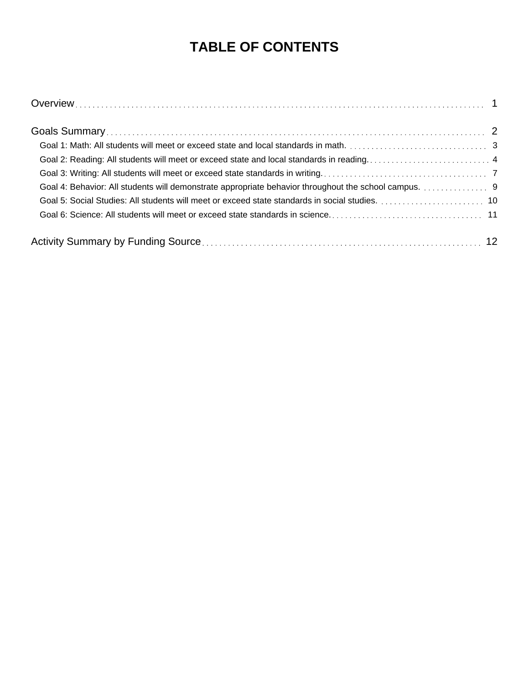# **TABLE OF CONTENTS**

| Goal 4: Behavior: All students will demonstrate appropriate behavior throughout the school campus. 9 |  |
|------------------------------------------------------------------------------------------------------|--|
|                                                                                                      |  |
|                                                                                                      |  |
|                                                                                                      |  |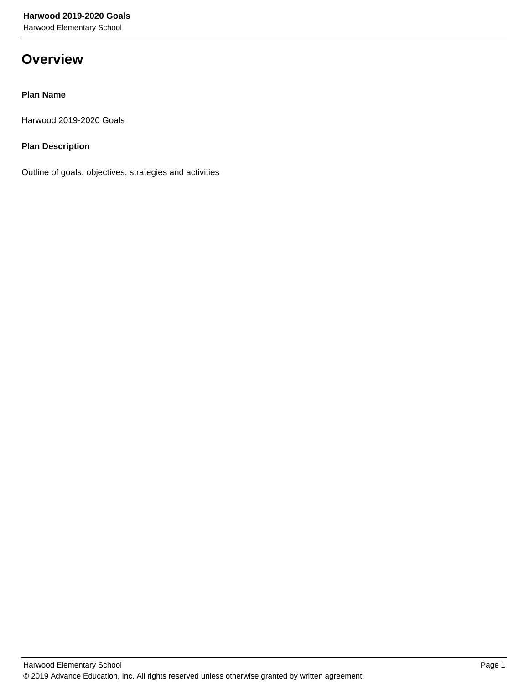Harwood Elementary School

# **Overview**

# **Plan Name**

Harwood 2019-2020 Goals

# **Plan Description**

Outline of goals, objectives, strategies and activities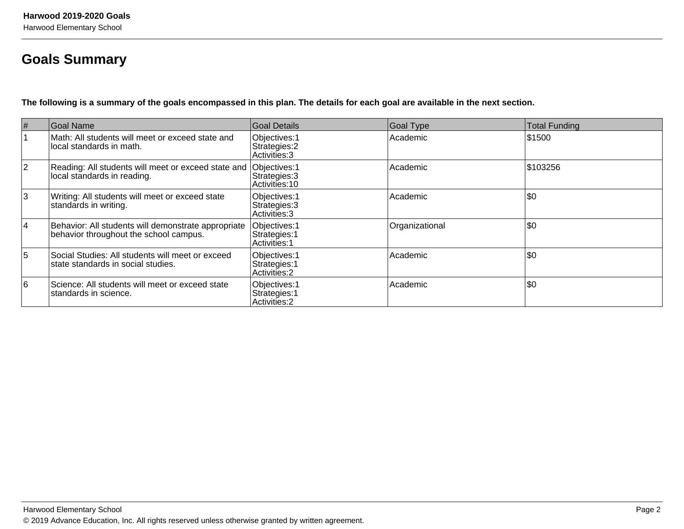# **Goals Summary**

**The following is a summary of the goals encompassed in this plan. The details for each goal are available in the next section.**

| #              | Goal Name                                                                                        | Goal Details                                           | Goal Type      | <b>Total Funding</b> |
|----------------|--------------------------------------------------------------------------------------------------|--------------------------------------------------------|----------------|----------------------|
|                | Math: All students will meet or exceed state and<br>local standards in math.                     | Objectives: 1<br>Strategies: 2<br>Activities: 3        | Academic       | 1\$1500              |
| $\overline{2}$ | Reading: All students will meet or exceed state and Objectives: 1<br>local standards in reading. | Strategies: 3<br>Activities: 10                        | Academic       | \$103256             |
| 3              | Writing: All students will meet or exceed state<br>standards in writing.                         | Objectives: 1<br>Strategies: 3<br>Activities: 3        | Academic       | \$0                  |
| $\overline{4}$ | Behavior: All students will demonstrate appropriate<br>behavior throughout the school campus.    | Objectives: 1<br>Strategies: 1<br><b>Activities: 1</b> | Organizational | \$0                  |
| 5              | Social Studies: All students will meet or exceed<br>state standards in social studies.           | Objectives: 1<br>Strategies: 1<br>Activities: 2        | Academic       | \$0                  |
| 6              | Science: All students will meet or exceed state<br>Istandards in science.                        | Objectives: 1<br>Strategies: 1<br>Activities: 2        | Academic       | \$0                  |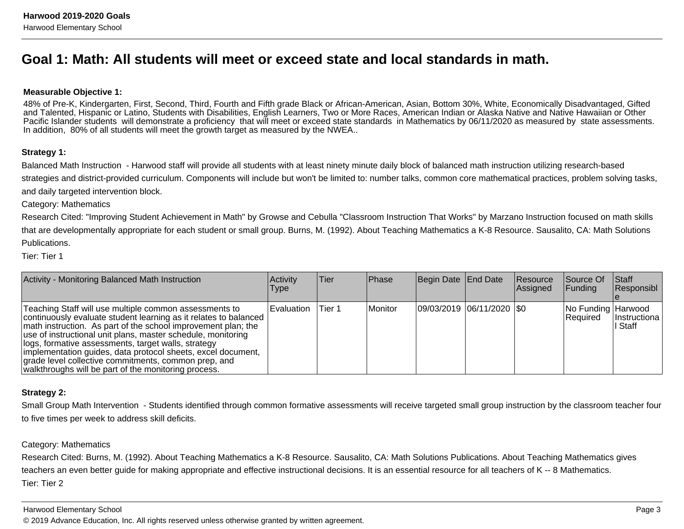# **Goal 1: Math: All students will meet or exceed state and local standards in math.**

### **Measurable Objective 1:**

48% of Pre-K, Kindergarten, First, Second, Third, Fourth and Fifth grade Black or African-American, Asian, Bottom 30%, White, Economically Disadvantaged, Gifted and Talented, Hispanic or Latino, Students with Disabilities, English Learners, Two or More Races, American Indian or Alaska Native and Native Hawaiian or Other Pacific Islander students will demonstrate a proficiency that will meet or exceed state standards in Mathematics by 06/11/2020 as measured by state assessments.In addition, 80% of all students will meet the growth target as measured by the NWEA..

### **Strategy 1:**

Balanced Math Instruction - Harwood staff will provide all students with at least ninety minute daily block of balanced math instruction utilizing research-basedstrategies and district-provided curriculum. Components will include but won't be limited to: number talks, common core mathematical practices, problem solving tasks,and daily targeted intervention block.

Category: Mathematics

Research Cited: "Improving Student Achievement in Math" by Growse and Cebulla "Classroom Instruction That Works" by Marzano Instruction focused on math skillsthat are developmentally appropriate for each student or small group. Burns, M. (1992). About Teaching Mathematics a K-8 Resource. Sausalito, CA: Math SolutionsPublications.

Tier: Tier 1

| Activity - Monitoring Balanced Math Instruction                                                                                                                                                                                                                                                                                                                                                                                                                                                     | <b>Activity</b><br><b>Type</b> | lTier: | <b>IPhase</b> | Begin Date End Date       | Resource<br><b>Assigned</b> | <b>Source Of</b><br><b>Funding</b> | <b>Staff</b><br>Responsibl |
|-----------------------------------------------------------------------------------------------------------------------------------------------------------------------------------------------------------------------------------------------------------------------------------------------------------------------------------------------------------------------------------------------------------------------------------------------------------------------------------------------------|--------------------------------|--------|---------------|---------------------------|-----------------------------|------------------------------------|----------------------------|
| Teaching Staff will use multiple common assessments to<br>continuously evaluate student learning as it relates to balanced<br>math instruction. As part of the school improvement plan; the<br>use of instructional unit plans, master schedule, monitoring<br>llogs, formative assessments, target walls, strategy<br>implementation guides, data protocol sheets, excel document,<br>grade level collective commitments, common prep, and<br>walkthroughs will be part of the monitoring process. | l Evaluation                   | Tier 1 | Monitor       | 09/03/2019 06/11/2020 \$0 |                             | No Funding Harwood<br>Required     | Ilnstructiona<br>l Staff   |

## **Strategy 2:**

Small Group Math Intervention - Students identified through common formative assessments will receive targeted small group instruction by the classroom teacher fourto five times per week to address skill deficits.

## Category: Mathematics

Research Cited: Burns, M. (1992). About Teaching Mathematics a K-8 Resource. Sausalito, CA: Math Solutions Publications. About Teaching Mathematics givesteachers an even better guide for making appropriate and effective instructional decisions. It is an essential resource for all teachers of K -- 8 Mathematics.Tier: Tier 2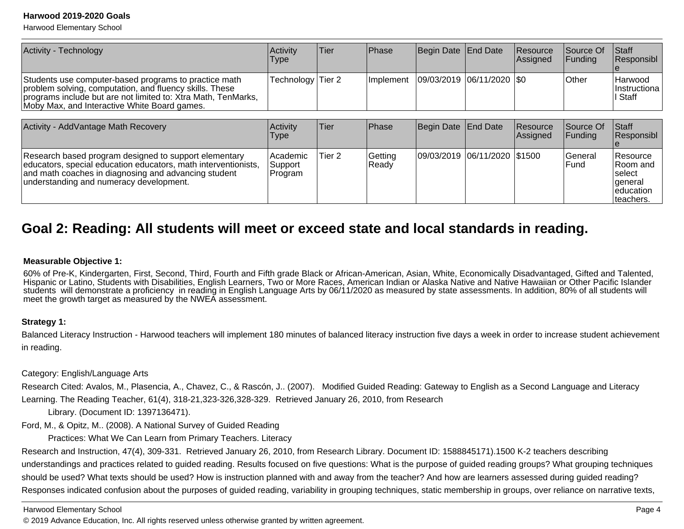Harwood Elementary School

| <b>Activity - Technology</b>                                                                                                                                                                                                      | Activity<br>Type                | Tier              | Phase            | Begin Date End Date          |                     | Resource<br>Assigned | Source Of<br><b>Funding</b> | <b>Staff</b><br>Responsibl         |
|-----------------------------------------------------------------------------------------------------------------------------------------------------------------------------------------------------------------------------------|---------------------------------|-------------------|------------------|------------------------------|---------------------|----------------------|-----------------------------|------------------------------------|
| Students use computer-based programs to practice math<br>problem solving, computation, and fluency skills. These<br>programs include but are not limited to: Xtra Math, TenMarks,<br>Moby Max, and Interactive White Board games. | Technology Tier 2               |                   | l Implement      | 09/03/2019                   | $ 06/11/2020 $ \\$0 |                      | <b>Other</b>                | Harwood<br>Instructiona<br>l Staff |
| Activity - AddVantage Math Recovery                                                                                                                                                                                               | Activity<br>Type                | Tier              | Phase            | Begin Date End Date          |                     | Resource<br>Assigned | Source Of<br> Fundina       | Staff<br>Responsibl                |
| Research based program designed to support elementary<br>educators, special education educators, math interventionists,<br>and math coaches in diagnosing and advancing student                                                   | Academic<br>Support<br> Program | Tier <sub>2</sub> | Getting<br>Ready | 09/03/2019 06/11/2020 \$1500 |                     |                      | General<br>Fund             | Resource<br>IRoom and<br>Iselect   |

# **Goal 2: Reading: All students will meet or exceed state and local standards in reading.**

### **Measurable Objective 1:**

understanding and numeracy development.

60% of Pre-K, Kindergarten, First, Second, Third, Fourth and Fifth grade Black or African-American, Asian, White, Economically Disadvantaged, Gifted and Talented, Hispanic or Latino, Students with Disabilities, English Learners, Two or More Races, American Indian or Alaska Native and Native Hawaiian or Other Pacific Islander students will demonstrate a proficiency in reading in English Language Arts by 06/11/2020 as measured by state assessments. In addition, 80% of all students willmeet the growth target as measured by the NWEA assessment.

## **Strategy 1:**

Balanced Literacy Instruction - Harwood teachers will implement 180 minutes of balanced literacy instruction five days a week in order to increase student achievementin reading.

Category: English/Language Arts

Research Cited: Avalos, M., Plasencia, A., Chavez, C., & Rascón, J.. (2007). Modified Guided Reading: Gateway to English as a Second Language and LiteracyLearning. The Reading Teacher, 61(4), 318-21,323-326,328-329. Retrieved January 26, 2010, from Research

Library. (Document ID: 1397136471).

Ford, M., & Opitz, M.. (2008). A National Survey of Guided Reading

Practices: What We Can Learn from Primary Teachers. Literacy

Research and Instruction, 47(4), 309-331. Retrieved January 26, 2010, from Research Library. Document ID: 1588845171).1500 K-2 teachers describingunderstandings and practices related to guided reading. Results focused on five questions: What is the purpose of guided reading groups? What grouping techniquesshould be used? What texts should be used? How is instruction planned with and away from the teacher? And how are learners assessed during guided reading?Responses indicated confusion about the purposes of guided reading, variability in grouping techniques, static membership in groups, over reliance on narrative texts,

Harwood Elementary School

© 2019 Advance Education, Inc. All rights reserved unless otherwise granted by written agreement.

 general educationteachers.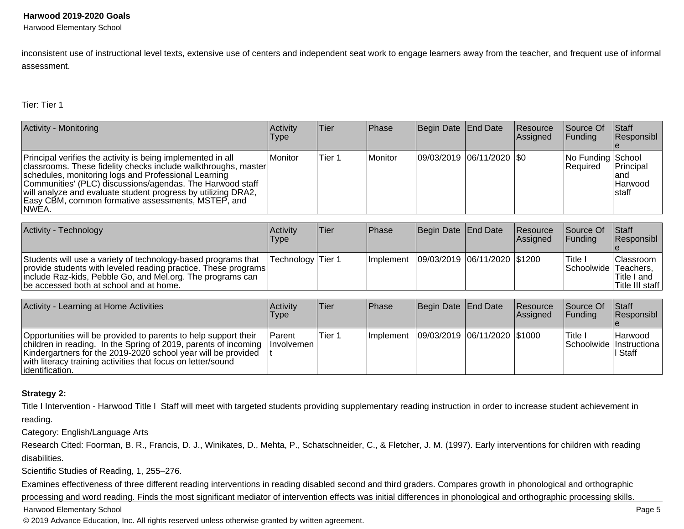Harwood Elementary School

inconsistent use of instructional level texts, extensive use of centers and independent seat work to engage learners away from the teacher, and frequent use of informalassessment.

Tier: Tier 1

| Activity - Monitoring                                                                                                                                                                                                                                                                                                                                                              | Activity<br><b>Type</b> | lTier. | <b>IPhase</b> | Begin Date End Date       | Resource<br>Assigned | Source Of<br> Funding                | <b>Staff</b><br>Responsibl             |
|------------------------------------------------------------------------------------------------------------------------------------------------------------------------------------------------------------------------------------------------------------------------------------------------------------------------------------------------------------------------------------|-------------------------|--------|---------------|---------------------------|----------------------|--------------------------------------|----------------------------------------|
| Principal verifies the activity is being implemented in all<br>classrooms. These fidelity checks include walkthroughs, master<br>schedules, monitoring logs and Professional Learning<br>Communities' (PLC) discussions/agendas. The Harwood staff<br>will analyze and evaluate student progress by utilizing DRA2,<br>Easy CBM, common formative assessments, MSTEP, and<br>NWEA. | <i>I</i> Monitor        | Tier 1 | Monitor       | 09/03/2019 06/11/2020 \$0 |                      | No Funding School<br><b>Required</b> | Principal<br>land<br>Harwood<br>Istaff |

| Activity - Technology                                                                                                                                                                                                                    | Activity<br>Type  | lTier. | <b>IPhase</b>                                | Begin Date End Date | Resource<br>Assigned | Source Of<br><b>IFunding</b>      | <b>Staff</b><br>Responsibl                          |
|------------------------------------------------------------------------------------------------------------------------------------------------------------------------------------------------------------------------------------------|-------------------|--------|----------------------------------------------|---------------------|----------------------|-----------------------------------|-----------------------------------------------------|
| Students will use a variety of technology-based programs that<br>provide students with leveled reading practice. These programs<br>include Raz-kids, Pebble Go, and Mel.org. The programs can<br>be accessed both at school and at home. | Technology Tier 1 |        | Implement   09/03/2019   06/11/2020   \$1200 |                     |                      | l Title ∟<br>Schoolwide Teachers, | <b>Classroom</b><br>lTitle I and<br>Title III staff |

| Activity - Learning at Home Activities                                                                                                                                                                                                                                                  | Activity<br>l ype                  | lTier.  | <b>IPhase</b> | Begin Date End Date            | Resource<br>Assigned | <b>Source Of</b><br>IFundina         | <b>Staff</b><br>Responsibl |
|-----------------------------------------------------------------------------------------------------------------------------------------------------------------------------------------------------------------------------------------------------------------------------------------|------------------------------------|---------|---------------|--------------------------------|----------------------|--------------------------------------|----------------------------|
| Opportunities will be provided to parents to help support their<br>children in reading. In the Spring of 2019, parents of incoming<br>Kindergartners for the 2019-2020 school year will be provided<br>with literacy training activities that focus on letter/sound<br>lidentification. | <b>Parent</b><br><b>Involvemen</b> | lTier 1 | Ilmplement    | 09/03/2019  06/11/2020  \$1000 |                      | ITitle.<br>Schoolwide   Instructiona | IHarwood<br>∣ Staff        |

## **Strategy 2:**

Title I Intervention - Harwood Title I Staff will meet with targeted students providing supplementary reading instruction in order to increase student achievement inreading.

Category: English/Language Arts

Research Cited: Foorman, B. R., Francis, D. J., Winikates, D., Mehta, P., Schatschneider, C., & Fletcher, J. M. (1997). Early interventions for children with reading disabilities.

Scientific Studies of Reading, 1, 255–276.

Examines effectiveness of three different reading interventions in reading disabled second and third graders. Compares growth in phonological and orthographicprocessing and word reading. Finds the most significant mediator of intervention effects was initial differences in phonological and orthographic processing skills.

Harwood Elementary School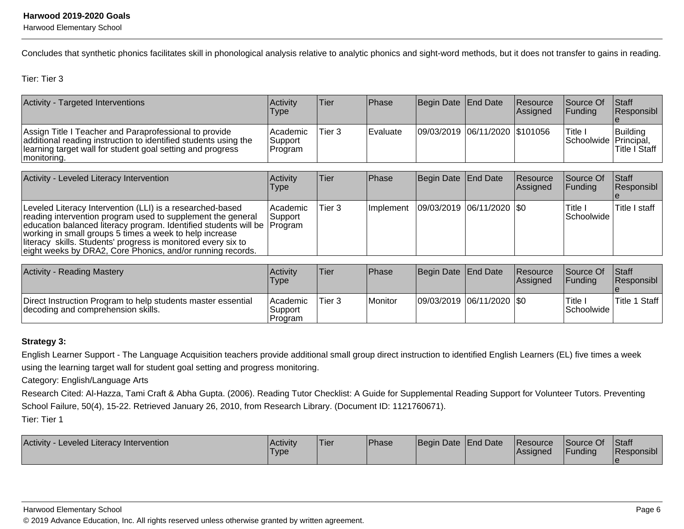Harwood Elementary School

Concludes that synthetic phonics facilitates skill in phonological analysis relative to analytic phonics and sight-word methods, but it does not transfer to gains in reading.

Tier: Tier 3

| Activity - Targeted Interventions                                                                                                                                                                      | Activitv<br>Type                 | lTier  | <b>IPhase</b>   | Begin Date End Date            | <b>Resource</b><br>Assigned | <b>Source Of</b><br><b>IFundina</b> | <b>Staff</b><br>Responsibl |
|--------------------------------------------------------------------------------------------------------------------------------------------------------------------------------------------------------|----------------------------------|--------|-----------------|--------------------------------|-----------------------------|-------------------------------------|----------------------------|
| Assign Title I Teacher and Paraprofessional to provide<br>additional reading instruction to identified students using the<br>learning target wall for student goal setting and progress<br>monitoring. | l Academic<br>Support<br>Program | Tier 3 | <b>Evaluate</b> | 09/03/2019 06/11/2020 \$101056 |                             | Title i<br>Schoolwide   Principal,  | Building<br>'Title I Staff |

| Activity - Leveled Literacy Intervention                                                                                                                                                                                                                                                                                                                                                       | <b>Activity</b><br>Type | Tier   | <b>IPhase</b>     | Begin Date End Date         | Resource<br><b>Assigned</b> | Source Of<br><b>IFunding</b> | <b>Staff</b><br>Responsibl |
|------------------------------------------------------------------------------------------------------------------------------------------------------------------------------------------------------------------------------------------------------------------------------------------------------------------------------------------------------------------------------------------------|-------------------------|--------|-------------------|-----------------------------|-----------------------------|------------------------------|----------------------------|
| Leveled Literacy Intervention (LLI) is a researched-based<br>reading intervention program used to supplement the general<br>education balanced literacy program. Identified students will be Program<br>working in small groups 5 times a week to help increase<br>literacy skills. Students' progress is monitored every six to<br>eight weeks by DRA2, Core Phonics, and/or running records. | Academic<br> Support_   | Tier 3 | <b>Ilmplement</b> | 09/03/2019  06/11/2020  \$0 |                             | 'Title i<br> Schoolwide      | Title I staff              |

| <b>Activity - Reading Mastery</b>                                                                  | <b>Activity</b><br><b>Type</b>  | <sup>'</sup> Tier | <b>IPhase</b> | Begin Date End Date         | <b>Resource</b><br>lAssianed | <b>Source Of</b><br><b>IFundina</b> | <b>Staff</b><br><b>Responsibl</b> |
|----------------------------------------------------------------------------------------------------|---------------------------------|-------------------|---------------|-----------------------------|------------------------------|-------------------------------------|-----------------------------------|
| Direct Instruction Program to help students master essential<br>decoding and comprehension skills. | Academic <br>Support<br>Program | Tier <sub>3</sub> | Monitor       | 09/03/2019  06/11/2020  \$0 |                              | Title.<br>lSchoolwide               | 'Title 1<br>Staff                 |

# **Strategy 3:**

English Learner Support - The Language Acquisition teachers provide additional small group direct instruction to identified English Learners (EL) five times a weekusing the learning target wall for student goal setting and progress monitoring.

Category: English/Language Arts

 Research Cited: Al-Hazza, Tami Craft & Abha Gupta. (2006). Reading Tutor Checklist: A Guide for Supplemental Reading Support for Volunteer Tutors. PreventingSchool Failure, 50(4), 15-22. Retrieved January 26, 2010, from Research Library. (Document ID: 1121760671).Tier: Tier 1

| Activity<br>- Leveled Literacy Intervention | <b>Activity</b><br><b>Type</b> | 'Tier | <sup>1</sup> Phase | Begin Date End Date | <b>Resource</b><br>Assigned | Source Of<br>Funding | Staff<br>Responsibl |
|---------------------------------------------|--------------------------------|-------|--------------------|---------------------|-----------------------------|----------------------|---------------------|
|                                             |                                |       |                    |                     |                             |                      |                     |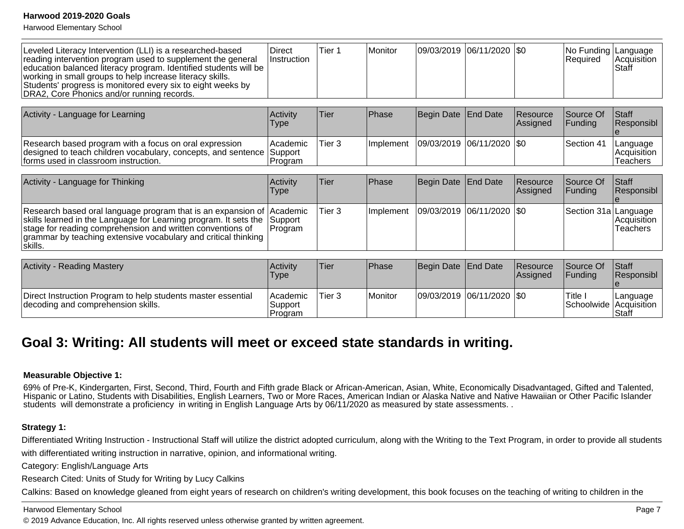Harwood Elementary School

| Leveled Literacy Intervention (LLI) is a researched-based<br>reading intervention program used to supplement the general<br>education balanced literacy program. Identified students will be<br>working in small groups to help increase literacy skills.<br>Students' progress is monitored every six to eight weeks by<br>DRA2, Core Phonics and/or running records. | <b>Direct</b><br>Instruction   | Tier 1 | Monitor   | 09/03/2019            | 06/11/2020      | <b>SO</b>            | No Funding   Language<br>Required | Acquisition<br>Staff                |
|------------------------------------------------------------------------------------------------------------------------------------------------------------------------------------------------------------------------------------------------------------------------------------------------------------------------------------------------------------------------|--------------------------------|--------|-----------|-----------------------|-----------------|----------------------|-----------------------------------|-------------------------------------|
|                                                                                                                                                                                                                                                                                                                                                                        |                                |        |           |                       |                 |                      |                                   |                                     |
| Activity - Language for Learning                                                                                                                                                                                                                                                                                                                                       | Activity<br>Type               | Tier   | Phase     | Begin Date            | <b>End Date</b> | Resource<br>Assigned | Source Of<br>Funding              | <b>Staff</b><br>Responsibl          |
| Research based program with a focus on oral expression<br>designed to teach children vocabulary, concepts, and sentence<br>forms used in classroom instruction.                                                                                                                                                                                                        | Academic<br>Support<br>Program | Tier 3 | Implement | 09/03/2019            | 06/11/2020      | \$0                  | Section 41                        | Language<br>Acquisition<br>Teachers |
|                                                                                                                                                                                                                                                                                                                                                                        |                                |        |           |                       |                 |                      |                                   |                                     |
| Activity - Language for Thinking                                                                                                                                                                                                                                                                                                                                       | Activity<br>Type               | Tier   | Phase     | Begin Date            | <b>End Date</b> | Resource<br>Assigned | Source Of<br>Funding              | Staff<br>Responsibl                 |
| Research based oral language program that is an expansion of<br>skills learned in the Language for Learning program. It sets the stage for reading comprehension and written conventions of<br>grammar by teaching extensive vocabulary and critical thinking<br>skills.                                                                                               | Academic<br>Support<br>Program | Tier 3 | Implement | 09/03/2019 06/11/2020 |                 | <b>SO</b>            | Section 31a                       | Language<br>Acquisition<br>Teachers |
|                                                                                                                                                                                                                                                                                                                                                                        |                                |        |           |                       |                 |                      |                                   |                                     |
| <b>Activity - Reading Mastery</b>                                                                                                                                                                                                                                                                                                                                      | Activity<br>Type               | Tier   | Phase     | Begin Date            | <b>End Date</b> | Resource<br>Assigned | Source Of<br>Funding              | <b>Staff</b><br>Responsibl          |
| Direct Instruction Program to help students master essential<br>decoding and comprehension skills.                                                                                                                                                                                                                                                                     | Academic<br>Support<br>Program | Tier 3 | Monitor   | 09/03/2019 06/11/2020 |                 | <b>SO</b>            | Title I<br>Schoolwide             | Language<br>Acquisition<br>l Staff  |

# **Goal 3: Writing: All students will meet or exceed state standards in writing.**

### **Measurable Objective 1:**

 69% of Pre-K, Kindergarten, First, Second, Third, Fourth and Fifth grade Black or African-American, Asian, White, Economically Disadvantaged, Gifted and Talented, Hispanic or Latino, Students with Disabilities, English Learners, Two or More Races, American Indian or Alaska Native and Native Hawaiian or Other Pacific Islanderstudents will demonstrate a proficiency in writing in English Language Arts by 06/11/2020 as measured by state assessments. .

## **Strategy 1:**

Differentiated Writing Instruction - Instructional Staff will utilize the district adopted curriculum, along with the Writing to the Text Program, in order to provide all students with differentiated writing instruction in narrative, opinion, and informational writing.

Category: English/Language Arts

Research Cited: Units of Study for Writing by Lucy Calkins

Calkins: Based on knowledge gleaned from eight years of research on children's writing development, this book focuses on the teaching of writing to children in the

## Harwood Elementary School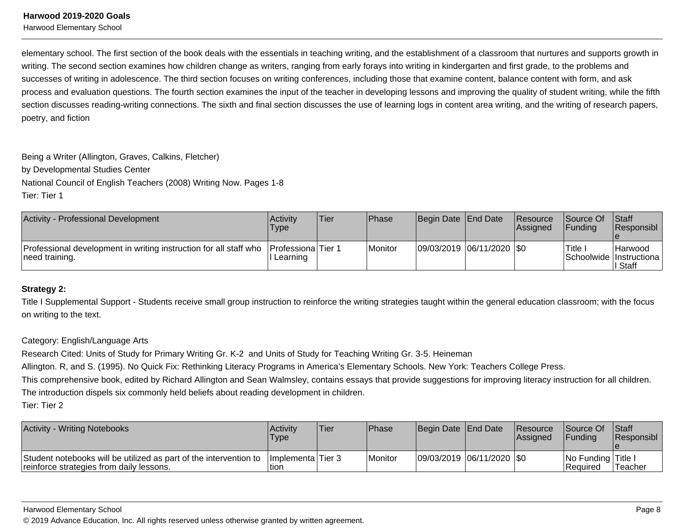Harwood Elementary School

elementary school. The first section of the book deals with the essentials in teaching writing, and the establishment of a classroom that nurtures and supports growth inwriting. The second section examines how children change as writers, ranging from early forays into writing in kindergarten and first grade, to the problems andsuccesses of writing in adolescence. The third section focuses on writing conferences, including those that examine content, balance content with form, and ask process and evaluation questions. The fourth section examines the input of the teacher in developing lessons and improving the quality of student writing, while the fifthsection discusses reading-writing connections. The sixth and final section discusses the use of learning logs in content area writing, and the writing of research papers, poetry, and fiction

Being a Writer (Allington, Graves, Calkins, Fletcher)by Developmental Studies CenterNational Council of English Teachers (2008) Writing Now. Pages 1-8Tier: Tier 1

| Activity - Professional Development                                                 | Activity<br>Type                      | lTier. | Phase   | Begin Date End Date         | <b>Resource</b><br><b>Assigned</b> | <b>Source Of</b><br><b>IFundina</b> | <b>Staff</b><br><b>Responsibl</b>             |
|-------------------------------------------------------------------------------------|---------------------------------------|--------|---------|-----------------------------|------------------------------------|-------------------------------------|-----------------------------------------------|
| Professional development in writing instruction for all staff who<br>need training. | <b>Professiona</b> Tier 1<br>Learning |        | Monitor | 09/03/2019  06/11/2020  \$0 |                                    | Title                               | Harwood<br>Schoolwide Instructiona<br>∣ Staff |

## **Strategy 2:**

Title I Supplemental Support - Students receive small group instruction to reinforce the writing strategies taught within the general education classroom; with the focuson writing to the text.

## Category: English/Language Arts

Research Cited: Units of Study for Primary Writing Gr. K-2 and Units of Study for Teaching Writing Gr. 3-5. Heineman

Allington. R, and S. (1995). No Quick Fix: Rethinking Literacy Programs in America's Elementary Schools. New York: Teachers College Press.

This comprehensive book, edited by Richard Allington and Sean Walmsley, contains essays that provide suggestions for improving literacy instruction for all children.The introduction dispels six commonly held beliefs about reading development in children.

Tier: Tier 2

| Activity - Writing Notebooks                                                                                  | Activity<br><b>Type</b>    | 'Tier | <b>Phase</b> | Begin Date End Date         | <b>Resource</b><br>lAssianed | <b>Source Of</b><br><b>IFundina</b> | Staff<br><b>Responsibl</b> |
|---------------------------------------------------------------------------------------------------------------|----------------------------|-------|--------------|-----------------------------|------------------------------|-------------------------------------|----------------------------|
| Student notebooks will be utilized as part of the intervention to<br>reinforce strategies from daily lessons. | Implementa Tier 3<br>∣tion |       | Monitor      | 09/03/2019  06/11/2020  \$0 |                              | No Funding Title I<br>l Reauired    | Teacher                    |

#### Harwood Elementary School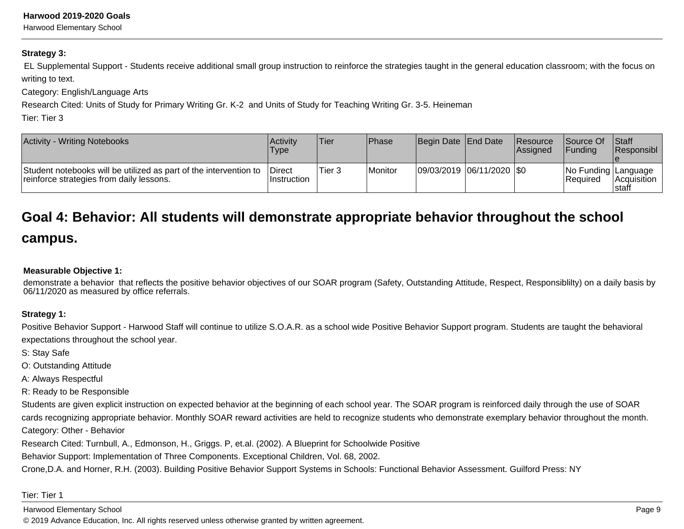Harwood Elementary School

### **Strategy 3:**

 EL Supplemental Support - Students receive additional small group instruction to reinforce the strategies taught in the general education classroom; with the focus onwriting to text.

Category: English/Language Arts

Research Cited: Units of Study for Primary Writing Gr. K-2 and Units of Study for Teaching Writing Gr. 3-5. Heineman

Tier: Tier 3

| <b>Activity - Writing Notebooks</b>                                                                           | Activity<br>Type               | Tier   | Phase          | Begin Date End Date |                           | Resource<br>lAssianed | <b>Source Of</b><br> Fundina             | <b>Staff</b><br>Responsibl   |
|---------------------------------------------------------------------------------------------------------------|--------------------------------|--------|----------------|---------------------|---------------------------|-----------------------|------------------------------------------|------------------------------|
| Student notebooks will be utilized as part of the intervention to<br>reinforce strategies from daily lessons. | <b>IDirect</b><br>⊺Instruction | Tier 3 | <b>Monitor</b> |                     | 09/03/2019 06/11/2020 \$0 |                       | No Funding   Language<br><b>Required</b> | <b>Acquisition</b><br>Istaff |

# **Goal 4: Behavior: All students will demonstrate appropriate behavior throughout the school**

# **campus.**

# **Measurable Objective 1:**

demonstrate a behavior that reflects the positive behavior objectives of our SOAR program (Safety, Outstanding Attitude, Respect, Responsiblilty) on a daily basis by06/11/2020 as measured by office referrals.

# **Strategy 1:**

Positive Behavior Support - Harwood Staff will continue to utilize S.O.A.R. as a school wide Positive Behavior Support program. Students are taught the behavioralexpectations throughout the school year.

S: Stay Safe

O: Outstanding Attitude

A: Always Respectful

R: Ready to be Responsible

Students are given explicit instruction on expected behavior at the beginning of each school year. The SOAR program is reinforced daily through the use of SOAR cards recognizing appropriate behavior. Monthly SOAR reward activities are held to recognize students who demonstrate exemplary behavior throughout the month.Category: Other - Behavior

Research Cited: Turnbull, A., Edmonson, H., Griggs. P, et.al. (2002). A Blueprint for Schoolwide Positive

Behavior Support: Implementation of Three Components. Exceptional Children, Vol. 68, 2002.

Crone,D.A. and Horner, R.H. (2003). Building Positive Behavior Support Systems in Schools: Functional Behavior Assessment. Guilford Press: NY

Tier: Tier 1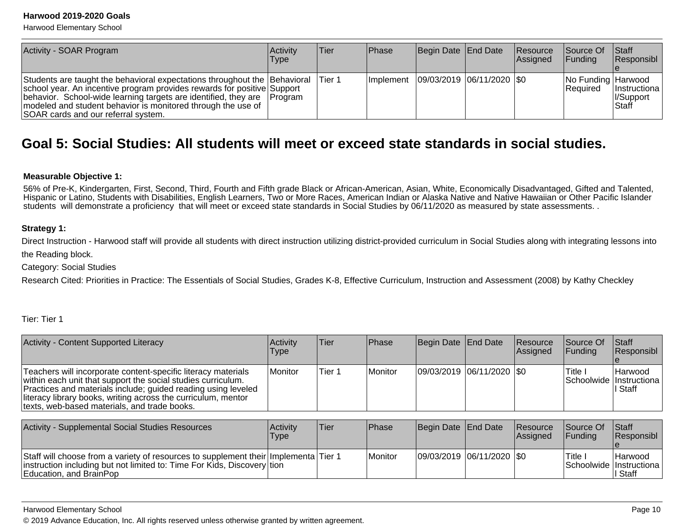Harwood Elementary School

| Activity - SOAR Program                                                                                                                                                                                                                                                                                                                | <b>Activity</b><br>Type | <b>Tier</b> | <b>IPhase</b> | Begin Date End Date                       | <b>Resource</b><br>Assigned | Source Of<br><b>IFunding</b>     | <b>Staff</b><br>Responsibl                                      |
|----------------------------------------------------------------------------------------------------------------------------------------------------------------------------------------------------------------------------------------------------------------------------------------------------------------------------------------|-------------------------|-------------|---------------|-------------------------------------------|-----------------------------|----------------------------------|-----------------------------------------------------------------|
| Students are taught the behavioral expectations throughout the Behavioral<br>school year. An incentive program provides rewards for positive Support<br>behavior. School-wide learning targets are identified, they are Program<br>modeled and student behavior is monitored through the use of<br>SOAR cards and our referral system. |                         | lTier 1     |               | Implement   09/03/2019   06/11/2020   \$0 |                             | No Funding Harwood<br>l Reauired | <b>Instructiona</b><br><i><b>II/Support</b></i><br><b>Staff</b> |

# **Goal 5: Social Studies: All students will meet or exceed state standards in social studies.**

### **Measurable Objective 1:**

56% of Pre-K, Kindergarten, First, Second, Third, Fourth and Fifth grade Black or African-American, Asian, White, Economically Disadvantaged, Gifted and Talented, Hispanic or Latino, Students with Disabilities, English Learners, Two or More Races, American Indian or Alaska Native and Native Hawaiian or Other Pacific Islanderstudents will demonstrate a proficiency that will meet or exceed state standards in Social Studies by 06/11/2020 as measured by state assessments. .

### **Strategy 1:**

Direct Instruction - Harwood staff will provide all students with direct instruction utilizing district-provided curriculum in Social Studies along with integrating lessons intothe Reading block.

Category: Social Studies

Research Cited: Priorities in Practice: The Essentials of Social Studies, Grades K-8, Effective Curriculum, Instruction and Assessment (2008) by Kathy Checkley

Tier: Tier 1

| Activity - Content Supported Literacy                                                                                                                                                                                                                                                                           | Activity<br>Type | lTier. | <b>Phase</b>   | Begin Date End Date         | Resource<br>Assigned | <b>Source Of</b><br><b>IFunding</b> | <b>Staff</b><br>Responsibl                                |
|-----------------------------------------------------------------------------------------------------------------------------------------------------------------------------------------------------------------------------------------------------------------------------------------------------------------|------------------|--------|----------------|-----------------------------|----------------------|-------------------------------------|-----------------------------------------------------------|
| Teachers will incorporate content-specific literacy materials<br>within each unit that support the social studies curriculum.<br>Practices and materials include; guided reading using leveled<br>literacy library books, writing across the curriculum, mentor<br>texts, web-based materials, and trade books. | Monitor          | Tier 1 | <b>Monitor</b> | 09/03/2019  06/11/2020  \$0 |                      | 'Title I                            | <b>Harwood</b><br>Schoolwide   Instructiona  <br>II Staff |

| Activity - Supplemental Social Studies Resources                                                                                                                                          | Activity<br>Type | 'Tier | <b>IPhase</b> | Begin Date End Date         | Resource<br><b>Assigned</b> | Source Of<br><b>IFundina</b> | <b>Staff</b><br><b>Responsibl</b>                             |
|-------------------------------------------------------------------------------------------------------------------------------------------------------------------------------------------|------------------|-------|---------------|-----------------------------|-----------------------------|------------------------------|---------------------------------------------------------------|
| Staff will choose from a variety of resources to supplement their Implementa Tier 1<br>instruction including but not limited to: Time For Kids, Discovery tion<br>Education, and BrainPop |                  |       | l Monitor     | 09/03/2019  06/11/2020  \$0 |                             | Title                        | <b>IHarwood</b><br><b>Schoolwide Instructional</b><br>I Staff |

#### Harwood Elementary School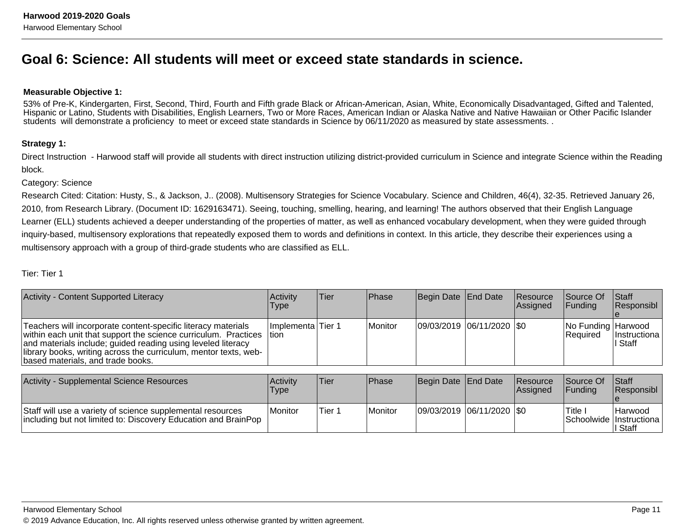# **Goal 6: Science: All students will meet or exceed state standards in science.**

## **Measurable Objective 1:**

53% of Pre-K, Kindergarten, First, Second, Third, Fourth and Fifth grade Black or African-American, Asian, White, Economically Disadvantaged, Gifted and Talented, Hispanic or Latino, Students with Disabilities, English Learners, Two or More Races, American Indian or Alaska Native and Native Hawaiian or Other Pacific Islanderstudents will demonstrate a proficiency to meet or exceed state standards in Science by 06/11/2020 as measured by state assessments. .

## **Strategy 1:**

Direct Instruction - Harwood staff will provide all students with direct instruction utilizing district-provided curriculum in Science and integrate Science within the Readingblock.

### Category: Science

Research Cited: Citation: Husty, S., & Jackson, J.. (2008). Multisensory Strategies for Science Vocabulary. Science and Children, 46(4), 32-35. Retrieved January 26,2010, from Research Library. (Document ID: 1629163471). Seeing, touching, smelling, hearing, and learning! The authors observed that their English LanguageLearner (ELL) students achieved a deeper understanding of the properties of matter, as well as enhanced vocabulary development, when they were guided throughinquiry-based, multisensory explorations that repeatedly exposed them to words and definitions in context. In this article, they describe their experiences using amultisensory approach with a group of third-grade students who are classified as ELL.

## Tier: Tier 1

| <b>Activity - Content Supported Literacy</b>                                                                                                                                                                                                                                                              | Activity<br>Type              | Tier | <b>IPhase</b> | Begin Date End Date           | <b>Resource</b><br>Assigned | Source Of<br><b>IFunding</b>          | <b>Staff</b><br>Responsibl |
|-----------------------------------------------------------------------------------------------------------------------------------------------------------------------------------------------------------------------------------------------------------------------------------------------------------|-------------------------------|------|---------------|-------------------------------|-----------------------------|---------------------------------------|----------------------------|
| Teachers will incorporate content-specific literacy materials<br>within each unit that support the science curriculum. Practices<br>and materials include; guided reading using leveled literacy<br>library books, writing across the curriculum, mentor texts, web-<br>based materials, and trade books. | Ilmplementa lTier 1<br>ltion. |      | l Monitor     | $ 09/03/2019 06/11/2020 $ \$0 |                             | No Funding Harwood<br><b>Required</b> | Instructiona  <br>II Staff |

| Activity - Supplemental Science Resources                                                                                    | Activity<br>Type | 'Tier  | <b>Phase</b> | Begin Date End Date     | <b>Resource</b><br><b>IAssianed</b> | Source Of<br><b>IFundina</b> | <b>Staff</b><br><b>Responsibl</b>                    |
|------------------------------------------------------------------------------------------------------------------------------|------------------|--------|--------------|-------------------------|-------------------------------------|------------------------------|------------------------------------------------------|
| Staff will use a variety of science supplemental resources<br>including but not limited to: Discovery Education and BrainPop | Monitor          | Tier 1 | Monitor      | 09/03/2019 06/11/2020 0 |                                     | Title                        | <b>Harwood</b><br>Schoolwide Instructiona<br>I Staff |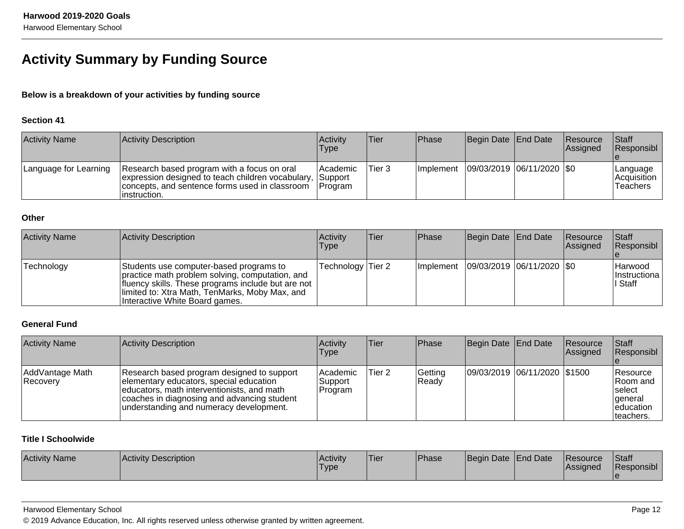# **Activity Summary by Funding Source**

# **Below is a breakdown of your activities by funding source**

# **Section 41**

| <b>Activity Name</b>  | <b>Activity Description</b>                                                                                                                                        | <b>Activity</b><br>Type                         | <b>Tier</b> | <b>Phase</b> | Begin Date End Date                       | Resource<br><b>Assigned</b> | Staff<br>Responsibl                         |
|-----------------------|--------------------------------------------------------------------------------------------------------------------------------------------------------------------|-------------------------------------------------|-------------|--------------|-------------------------------------------|-----------------------------|---------------------------------------------|
| Language for Learning | Research based program with a focus on oral<br>expression designed to teach children vocabulary,<br>concepts, and sentence forms used in classroom<br>instruction. | l Academic<br><b>Support</b><br><b>IProgram</b> | Tier 3      |              | Implement   09/03/2019   06/11/2020   \$0 |                             | Language<br> Acquisition<br><b>Teachers</b> |

# **Other**

| <b>Activity Name</b> | Activity Description                                                                                                                                                                                                                 | Activity<br><b>Type</b> | <b>Tier</b> | Phase | Begin Date End Date                       | Resource<br><b>Assigned</b> | <b>Staff</b><br>Responsibl                        |
|----------------------|--------------------------------------------------------------------------------------------------------------------------------------------------------------------------------------------------------------------------------------|-------------------------|-------------|-------|-------------------------------------------|-----------------------------|---------------------------------------------------|
| Technology           | Students use computer-based programs to<br>practice math problem solving, computation, and<br>fluency skills. These programs include but are not<br>limited to: Xtra Math, TenMarks, Moby Max, and<br>Interactive White Board games. | Technology Tier 2       |             |       | Implement   09/03/2019   06/11/2020   \$0 |                             | <b>Harwood</b><br><i>Instructiona</i><br>∣I Staff |

# **General Fund**

| <b>Activity Name</b>        | Activity Description                                                                                                                                                                                                          | Activity<br>Type                | <b>Tier</b> | Phase            | Begin Date End Date          | Resource<br><b>Assigned</b> | Staff<br>Responsibl                                                      |
|-----------------------------|-------------------------------------------------------------------------------------------------------------------------------------------------------------------------------------------------------------------------------|---------------------------------|-------------|------------------|------------------------------|-----------------------------|--------------------------------------------------------------------------|
| AddVantage Math<br>Recovery | Research based program designed to support<br>elementary educators, special education<br>educators, math interventionists, and math<br>coaches in diagnosing and advancing student<br>understanding and numeracy development. | lAcademic<br>Support<br>Program | Tier 2      | Getting<br>Ready | 09/03/2019 06/11/2020 \$1500 |                             | Resource<br>IRoom and<br>Iselect<br>lgeneral<br>leducation<br>Iteachers. |

# **Title I Schoolwide**

| <b>Activity Name</b> | Activity Description | <b>Activity</b><br><sup>1</sup> Type | 'Tier | <b>Phase</b> | Begin Date End Date | <b>IResource</b><br><b>IAssigned</b> | <b>Staff</b><br>Responsibl |
|----------------------|----------------------|--------------------------------------|-------|--------------|---------------------|--------------------------------------|----------------------------|
|                      |                      |                                      |       |              |                     |                                      |                            |

## Harwood Elementary School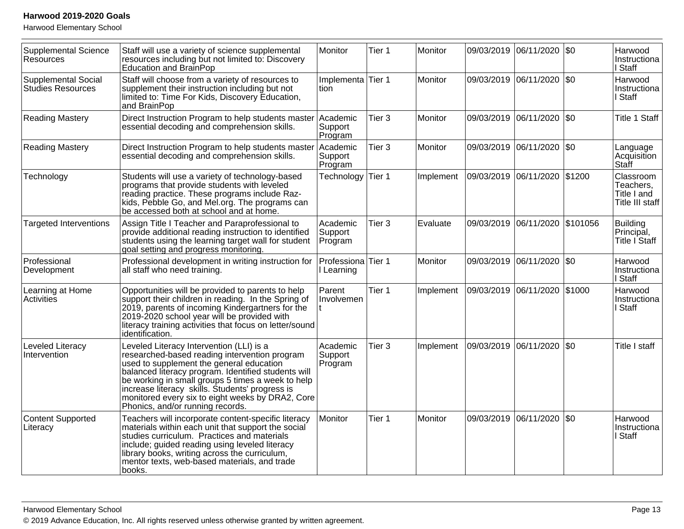Harwood Elementary School

| <b>Supplemental Science</b><br><b>Resources</b> | Staff will use a variety of science supplemental<br>resources including but not limited to: Discovery<br>Education and BrainPop                                                                                                                                                                                                                                                              | Monitor                          | Tier 1            | Monitor   | 09/03/2019 06/11/2020 | $\sqrt{50}$ | Harwood<br>Instructiona<br>I Staff                       |
|-------------------------------------------------|----------------------------------------------------------------------------------------------------------------------------------------------------------------------------------------------------------------------------------------------------------------------------------------------------------------------------------------------------------------------------------------------|----------------------------------|-------------------|-----------|-----------------------|-------------|----------------------------------------------------------|
| <b>Supplemental Social</b><br>Studies Resources | Staff will choose from a variety of resources to<br>supplement their instruction including but not<br>limited to: Time For Kids, Discovery Education,<br>and BrainPop                                                                                                                                                                                                                        | Implementa Tier 1<br>Ition       |                   | Monitor   | 09/03/2019 06/11/2020 | $ $ \$0     | Harwood<br>Instructiona<br>I Staff                       |
| <b>Reading Mastery</b>                          | Direct Instruction Program to help students master<br>essential decoding and comprehension skills.                                                                                                                                                                                                                                                                                           | Academic<br>Support<br>Program   | Tier 3            | Monitor   | 09/03/2019 06/11/2020 | $ $ \$0     | <b>Title 1 Staff</b>                                     |
| <b>Reading Mastery</b>                          | Direct Instruction Program to help students master<br>essential decoding and comprehension skills.                                                                                                                                                                                                                                                                                           | Academic<br>Support<br>Program   | Tier 3            | Monitor   | 09/03/2019 06/11/2020 | \$0         | Language<br>Acquisition<br>Staff                         |
| Technology                                      | Students will use a variety of technology-based<br>programs that provide students with leveled<br>reading practice. These programs include Raz-<br>kids, Pebble Go, and Mel.org. The programs can<br>be accessed both at school and at home.                                                                                                                                                 | Technology                       | Tier 1            | Implement | 09/03/2019 06/11/2020 | \$1200      | Classroom<br>Teachers,<br>Title I and<br>Title III staff |
| <b>Targeted Interventions</b>                   | Assign Title I Teacher and Paraprofessional to<br>provide additional reading instruction to identified<br>students using the learning target wall for student<br>goal setting and progress monitoring.                                                                                                                                                                                       | Academic<br>Support<br>Program   | Tier <sub>3</sub> | Evaluate  | 09/03/2019 06/11/2020 | \$101056    | <b>Building</b><br>Principal,<br>Title I Staff           |
| Professional<br>Development                     | Professional development in writing instruction for<br>all staff who need training.                                                                                                                                                                                                                                                                                                          | Professiona Tier 1<br>I Learning |                   | Monitor   | 09/03/2019 06/11/2020 | $ $ \$0     | Harwood<br>Instructiona<br>I Staff                       |
| Learning at Home<br>Activities                  | Opportunities will be provided to parents to help<br>support their children in reading. In the Spring of<br>2019, parents of incoming Kindergartners for the<br>2019-2020 school year will be provided with<br>literacy training activities that focus on letter/sound<br>identification.                                                                                                    | Parent<br>Involvemen             | Tier 1            | Implement | 09/03/2019 06/11/2020 | \$1000      | Harwood<br>Instructiona<br>I Staff                       |
| Leveled Literacy<br>Intervention                | Leveled Literacy Intervention (LLI) is a<br>researched-based reading intervention program<br>used to supplement the general education<br>balanced literacy program. Identified students will<br>be working in small groups 5 times a week to help<br>increase literacy skills. Students' progress is<br>monitored every six to eight weeks by DRA2, Core<br>Phonics, and/or running records. | Academic<br>Support<br>Program   | Tier <sub>3</sub> | Implement | 09/03/2019 06/11/2020 | \$0         | Title I staff                                            |
| <b>Content Supported</b><br>Literacy            | Teachers will incorporate content-specific literacy<br>materials within each unit that support the social<br>studies curriculum. Practices and materials<br>include; guided reading using leveled literacy<br>library books, writing across the curriculum,<br>mentor texts, web-based materials, and trade<br>books.                                                                        | Monitor                          | Tier 1            | Monitor   | 09/03/2019 06/11/2020 | $ $ \$0     | Harwood<br>Instructiona<br>I Staff                       |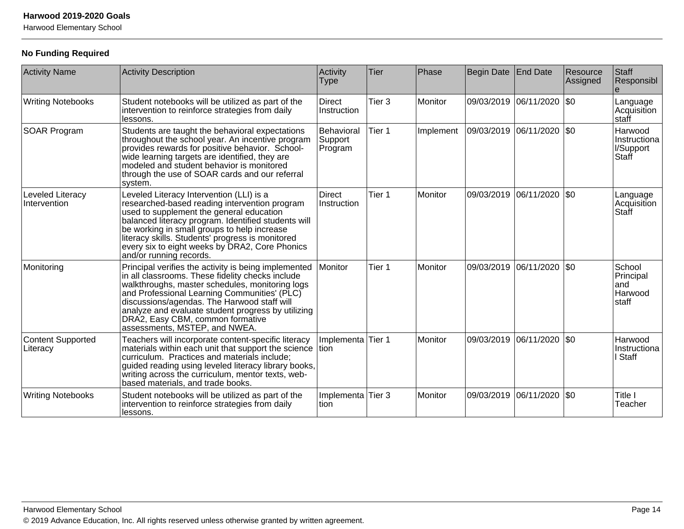Harwood Elementary School

# **No Funding Required**

| <b>Activity Name</b>                 | <b>Activity Description</b>                                                                                                                                                                                                                                                                                                                                                           | Activity<br><b>Type</b>          | Tier              | Phase     | Begin Date | End Date                    | Resource<br>Assigned | Staff<br>Responsibl                             |
|--------------------------------------|---------------------------------------------------------------------------------------------------------------------------------------------------------------------------------------------------------------------------------------------------------------------------------------------------------------------------------------------------------------------------------------|----------------------------------|-------------------|-----------|------------|-----------------------------|----------------------|-------------------------------------------------|
| <b>Writing Notebooks</b>             | Student notebooks will be utilized as part of the<br>intervention to reinforce strategies from daily<br>lessons.                                                                                                                                                                                                                                                                      | <b>Direct</b><br>Instruction     | Tier <sub>3</sub> | Monitor   |            | 09/03/2019  06/11/2020  \$0 |                      | Language<br>Acquisition<br> staff               |
| <b>SOAR Program</b>                  | Students are taught the behavioral expectations<br>throughout the school year. An incentive program<br>provides rewards for positive behavior. School-<br>wide learning targets are identified, they are<br>modeled and student behavior is monitored<br>through the use of SOAR cards and our referral<br>system.                                                                    | Behavioral<br>Support<br>Program | Tier 1            | Implement |            | 09/03/2019  06/11/2020  \$0 |                      | Harwood<br>Instructiona<br>I/Support<br>Staff   |
| Leveled Literacy<br>Intervention     | Leveled Literacy Intervention (LLI) is a<br>researched-based reading intervention program<br>used to supplement the general education<br>balanced literacy program. Identified students will<br>be working in small groups to help increase<br>literacy skills. Students' progress is monitored<br>every six to eight weeks by DRA2, Core Phonics<br>and/or running records.          | <b>Direct</b><br>Instruction     | Tier 1            | Monitor   | 09/03/2019 | 06/11/2020                  | $ $ \$0              | Language<br>Acquisition<br>Staff                |
| Monitoring                           | Principal verifies the activity is being implemented<br>in all classrooms. These fidelity checks include<br>walkthroughs, master schedules, monitoring logs<br>and Professional Learning Communities' (PLC)<br>discussions/agendas. The Harwood staff will<br>analyze and evaluate student progress by utilizing<br>DRA2, Easy CBM, common formative<br>assessments, MSTEP, and NWEA. | Monitor                          | Tier 1            | Monitor   | 09/03/2019 | 06/11/2020 \$0              |                      | School<br>Principal<br>land<br>Harwood<br>staff |
| <b>Content Supported</b><br>Literacy | Teachers will incorporate content-specific literacy<br>materials within each unit that support the science tion<br>curriculum. Practices and materials include;<br>guided reading using leveled literacy library books,<br>writing across the curriculum, mentor texts, web-<br>based materials, and trade books.                                                                     | Implementa                       | Tier 1            | Monitor   | 09/03/2019 | 06/11/2020                  | \$0                  | Harwood<br>Instructiona<br>Staff                |
| <b>Writing Notebooks</b>             | Student notebooks will be utilized as part of the<br>intervention to reinforce strategies from daily<br>lessons.                                                                                                                                                                                                                                                                      | Implementa<br>tion               | Tier 3            | Monitor   | 09/03/2019 | 06/11/2020   \$0            |                      | Title I<br>Teacher                              |